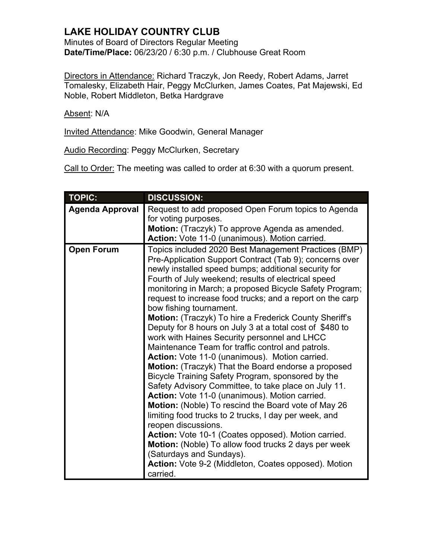Minutes of Board of Directors Regular Meeting **Date/Time/Place:** 06/23/20 / 6:30 p.m. / Clubhouse Great Room

Directors in Attendance: Richard Traczyk, Jon Reedy, Robert Adams, Jarret Tomalesky, Elizabeth Hair, Peggy McClurken, James Coates, Pat Majewski, Ed Noble, Robert Middleton, Betka Hardgrave

Absent: N/A

Invited Attendance: Mike Goodwin, General Manager

Audio Recording: Peggy McClurken, Secretary

Call to Order: The meeting was called to order at 6:30 with a quorum present.

| <b>TOPIC:</b>          | <b>DISCUSSION:</b>                                         |
|------------------------|------------------------------------------------------------|
| <b>Agenda Approval</b> | Request to add proposed Open Forum topics to Agenda        |
|                        | for voting purposes.                                       |
|                        | Motion: (Traczyk) To approve Agenda as amended.            |
|                        | Action: Vote 11-0 (unanimous). Motion carried.             |
| <b>Open Forum</b>      | Topics included 2020 Best Management Practices (BMP)       |
|                        | Pre-Application Support Contract (Tab 9); concerns over    |
|                        | newly installed speed bumps; additional security for       |
|                        | Fourth of July weekend; results of electrical speed        |
|                        | monitoring in March; a proposed Bicycle Safety Program;    |
|                        | request to increase food trucks; and a report on the carp  |
|                        | bow fishing tournament.                                    |
|                        | Motion: (Traczyk) To hire a Frederick County Sheriff's     |
|                        | Deputy for 8 hours on July 3 at a total cost of \$480 to   |
|                        | work with Haines Security personnel and LHCC               |
|                        | Maintenance Team for traffic control and patrols.          |
|                        | Action: Vote 11-0 (unanimous). Motion carried.             |
|                        | Motion: (Traczyk) That the Board endorse a proposed        |
|                        | Bicycle Training Safety Program, sponsored by the          |
|                        | Safety Advisory Committee, to take place on July 11.       |
|                        | Action: Vote 11-0 (unanimous). Motion carried.             |
|                        | <b>Motion:</b> (Noble) To rescind the Board vote of May 26 |
|                        | limiting food trucks to 2 trucks, I day per week, and      |
|                        | reopen discussions.                                        |
|                        | Action: Vote 10-1 (Coates opposed). Motion carried.        |
|                        | Motion: (Noble) To allow food trucks 2 days per week       |
|                        | (Saturdays and Sundays).                                   |
|                        | Action: Vote 9-2 (Middleton, Coates opposed). Motion       |
|                        | carried.                                                   |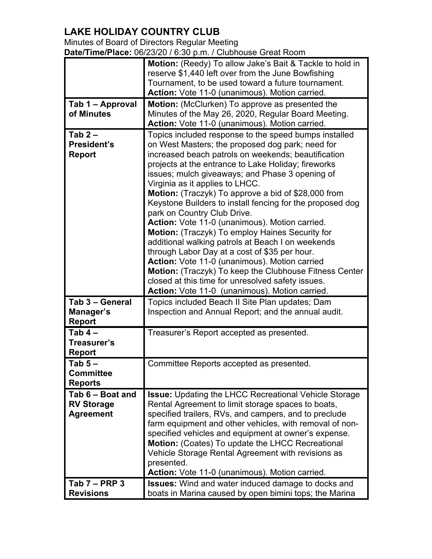| Minutes of Board of Directors Regular Meeting                |
|--------------------------------------------------------------|
| Date/Time/Place: 06/23/20 / 6:30 p.m. / Clubhouse Great Room |

|                              | Motion: (Reedy) To allow Jake's Bait & Tackle to hold in                                                  |
|------------------------------|-----------------------------------------------------------------------------------------------------------|
|                              | reserve \$1,440 left over from the June Bowfishing                                                        |
|                              | Tournament, to be used toward a future tournament.                                                        |
|                              | Action: Vote 11-0 (unanimous). Motion carried.                                                            |
| Tab 1 – Approval             | <b>Motion:</b> (McClurken) To approve as presented the                                                    |
| of Minutes                   | Minutes of the May 26, 2020, Regular Board Meeting.<br>Action: Vote 11-0 (unanimous). Motion carried.     |
| Tab $2-$                     |                                                                                                           |
| President's                  | Topics included response to the speed bumps installed<br>on West Masters; the proposed dog park; need for |
| <b>Report</b>                | increased beach patrols on weekends; beautification                                                       |
|                              | projects at the entrance to Lake Holiday; fireworks                                                       |
|                              | issues; mulch giveaways; and Phase 3 opening of                                                           |
|                              | Virginia as it applies to LHCC.                                                                           |
|                              | <b>Motion:</b> (Traczyk) To approve a bid of \$28,000 from                                                |
|                              | Keystone Builders to install fencing for the proposed dog                                                 |
|                              | park on Country Club Drive.<br>Action: Vote 11-0 (unanimous). Motion carried.                             |
|                              | Motion: (Traczyk) To employ Haines Security for                                                           |
|                              | additional walking patrols at Beach I on weekends                                                         |
|                              | through Labor Day at a cost of \$35 per hour.                                                             |
|                              | Action: Vote 11-0 (unanimous). Motion carried                                                             |
|                              | <b>Motion:</b> (Traczyk) To keep the Clubhouse Fitness Center                                             |
|                              | closed at this time for unresolved safety issues.                                                         |
|                              | Action: Vote 11-0 (unanimous). Motion carried.                                                            |
| Tab 3 - General              | Topics included Beach II Site Plan updates; Dam                                                           |
| Manager's                    | Inspection and Annual Report; and the annual audit.                                                       |
| <b>Report</b>                |                                                                                                           |
| Tab $4-$                     | Treasurer's Report accepted as presented.                                                                 |
| Treasurer's<br><b>Report</b> |                                                                                                           |
| Tab $5-$                     | Committee Reports accepted as presented.                                                                  |
| <b>Committee</b>             |                                                                                                           |
| <b>Reports</b>               |                                                                                                           |
| Tab 6 - Boat and             | <b>Issue:</b> Updating the LHCC Recreational Vehicle Storage                                              |
| <b>RV Storage</b>            | Rental Agreement to limit storage spaces to boats,                                                        |
| <b>Agreement</b>             | specified trailers, RVs, and campers, and to preclude                                                     |
|                              | farm equipment and other vehicles, with removal of non-                                                   |
|                              | specified vehicles and equipment at owner's expense.                                                      |
|                              | <b>Motion:</b> (Coates) To update the LHCC Recreational                                                   |
|                              | Vehicle Storage Rental Agreement with revisions as                                                        |
|                              | presented.<br>Action: Vote 11-0 (unanimous). Motion carried.                                              |
| Tab $7 - PRP$ 3              | <b>Issues:</b> Wind and water induced damage to docks and                                                 |
| <b>Revisions</b>             | boats in Marina caused by open bimini tops; the Marina                                                    |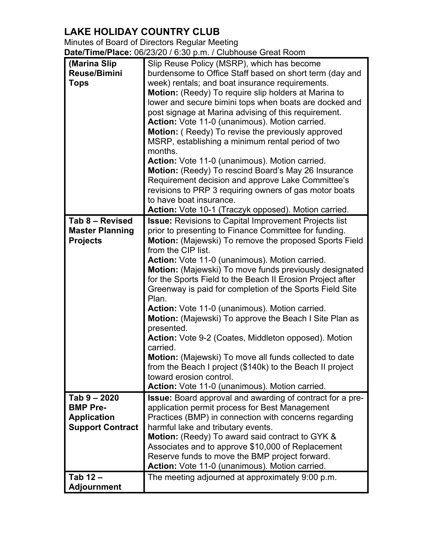Minutes of Board of Directors Regular Meeting **Date/Time/Place:** 06/23/20 / 6:30 p.m. / Clubhouse Great Room

| (Marina Slip            | Slip Reuse Policy (MSRP), which has become                       |
|-------------------------|------------------------------------------------------------------|
| <b>Reuse/Bimini</b>     | burdensome to Office Staff based on short term (day and          |
| <b>Tops</b>             | week) rentals; and boat insurance requirements.                  |
|                         | Motion: (Reedy) To require slip holders at Marina to             |
|                         |                                                                  |
|                         | lower and secure bimini tops when boats are docked and           |
|                         | post signage at Marina advising of this requirement.             |
|                         | Action: Vote 11-0 (unanimous). Motion carried.                   |
|                         | Motion: (Reedy) To revise the previously approved                |
|                         | MSRP, establishing a minimum rental period of two                |
|                         | months.                                                          |
|                         | Action: Vote 11-0 (unanimous). Motion carried.                   |
|                         | Motion: (Reedy) To rescind Board's May 26 Insurance              |
|                         | Requirement decision and approve Lake Committee's                |
|                         | revisions to PRP 3 requiring owners of gas motor boats           |
|                         | to have boat insurance.                                          |
|                         |                                                                  |
|                         | Action: Vote 10-1 (Traczyk opposed). Motion carried.             |
| Tab 8 - Revised         | <b>Issue:</b> Revisions to Capital Improvement Projects list     |
| <b>Master Planning</b>  | prior to presenting to Finance Committee for funding.            |
| <b>Projects</b>         | Motion: (Majewski) To remove the proposed Sports Field           |
|                         | from the CIP list.                                               |
|                         | Action: Vote 11-0 (unanimous). Motion carried.                   |
|                         | Motion: (Majewski) To move funds previously designated           |
|                         | for the Sports Field to the Beach II Erosion Project after       |
|                         | Greenway is paid for completion of the Sports Field Site         |
|                         | Plan.                                                            |
|                         | Action: Vote 11-0 (unanimous). Motion carried.                   |
|                         |                                                                  |
|                         | Motion: (Majewski) To approve the Beach I Site Plan as           |
|                         | presented.                                                       |
|                         | <b>Action:</b> Vote 9-2 (Coates, Middleton opposed). Motion      |
|                         | carried.                                                         |
|                         | Motion: (Majewski) To move all funds collected to date           |
|                         | from the Beach I project (\$140k) to the Beach II project        |
|                         | toward erosion control.                                          |
|                         | Action: Vote 11-0 (unanimous). Motion carried.                   |
| Tab 9 - 2020            | <b>Issue:</b> Board approval and awarding of contract for a pre- |
| <b>BMP Pre-</b>         | application permit process for Best Management                   |
| <b>Application</b>      | Practices (BMP) in connection with concerns regarding            |
| <b>Support Contract</b> | harmful lake and tributary events.                               |
|                         | <b>Motion:</b> (Reedy) To award said contract to GYK &           |
|                         | Associates and to approve \$10,000 of Replacement                |
|                         |                                                                  |
|                         | Reserve funds to move the BMP project forward.                   |
|                         | Action: Vote 11-0 (unanimous). Motion carried.                   |
| Tab 12-                 | The meeting adjourned at approximately 9:00 p.m.                 |
| <b>Adjournment</b>      |                                                                  |